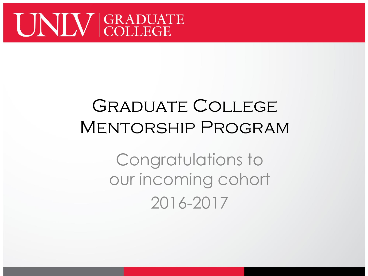

#### Graduate College Mentorship Program

Congratulations to our incoming cohort 2016-2017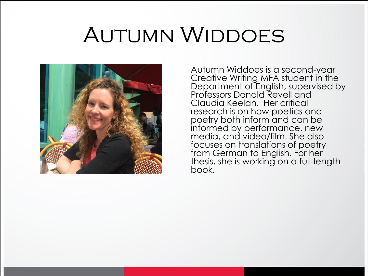## Autumn Widdoes



Autumn Widdoes is a second-year Creative Writing MFA student in the Department of English, supervised by Professors Donald Revell and Claudia Keelan. Her critical research is on how poetics and poetry both inform and can be informed by performance, new media, and video/film. She also focuses on translations of poetry from German to English. For her thesis, she is working on a full-length book.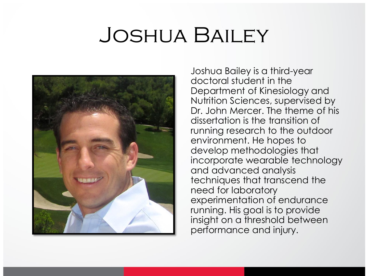#### Joshua Bailey



Joshua Bailey is a third-year doctoral student in the Department of Kinesiology and Nutrition Sciences, supervised by Dr. John Mercer. The theme of his dissertation is the transition of running research to the outdoor environment. He hopes to develop methodologies that incorporate wearable technology and advanced analysis techniques that transcend the need for laboratory experimentation of endurance running. His goal is to provide insight on a threshold between performance and injury.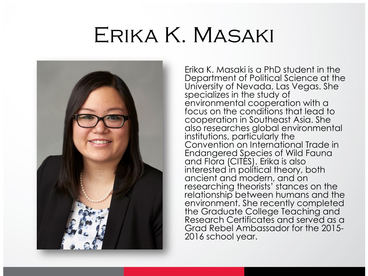## Erika K. Masaki



Erika K. Masaki is a PhD student in the Department of Political Science at the University of Nevada, Las Vegas. She specializes in the study of environmental cooperation with a focus on the conditions that lead to cooperation in Southeast Asia. She also researches global environmental institutions, particularly the Convention on International Trade in Endangered Species of Wild Fauna and Flora (CITES). Erika is also interested in political theory, both ancient and modern, and on researching theorists' stances on the relationship between humans and the environment. She recently completed the Graduate College Teaching and Research Certificates and served as a Grad Rebel Ambassador for the 2015- 2016 school year.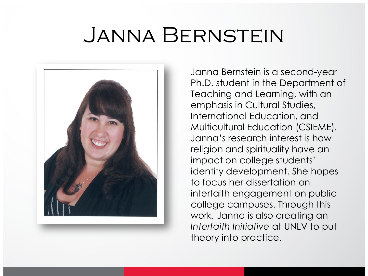### Janna Bernstein



Janna Bernstein is a second-year Ph.D. student in the Department of Teaching and Learning, with an emphasis in Cultural Studies, International Education, and Multicultural Education (CSIEME). Janna's research interest is how religion and spirituality have an impact on college students' identity development. She hopes to focus her dissertation on interfaith engagement on public college campuses. Through this work, Janna is also creating an *Interfaith Initiative* at UNLV to put theory into practice.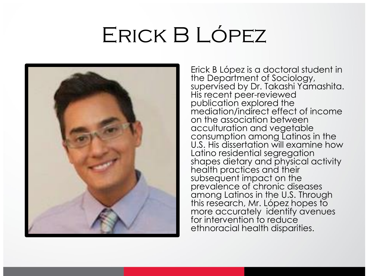## Erick B López



Erick B López is a doctoral student in the Department of Sociology, supervised by Dr. Takashi Yamashita. His recent peer-reviewed publication explored the mediation/indirect effect of income on the association between acculturation and vegetable consumption among Latinos in the U.S. His dissertation will examine how Latino residential segregation shapes dietary and physical activity health practices and their subsequent impact on the prevalence of chronic diseases among Latinos in the U.S. Through this research, Mr. López hopes to more accurately identify avenues for intervention to reduce ethnoracial health disparities.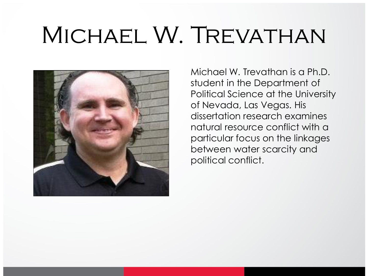# Michael W. Trevathan



Michael W. Trevathan is a Ph.D. student in the Department of Political Science at the University of Nevada, Las Vegas. His dissertation research examines natural resource conflict with a particular focus on the linkages between water scarcity and political conflict.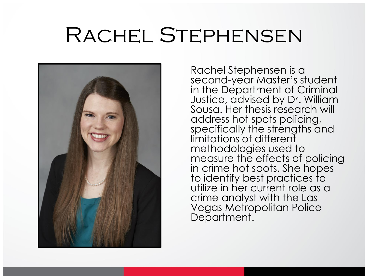## Rachel Stephensen



Rachel Stephensen is a second-year Master's student in the Department of Criminal Justice, advised by Dr. William Sousa. Her thesis research will address hot spots policing, specifically the strengths and limitations of different methodologies used to measure the effects of policing in crime hot spots. She hopes to identify best practices to utilize in her current role as a crime analyst with the Las Vegas Metropolitan Police Department.